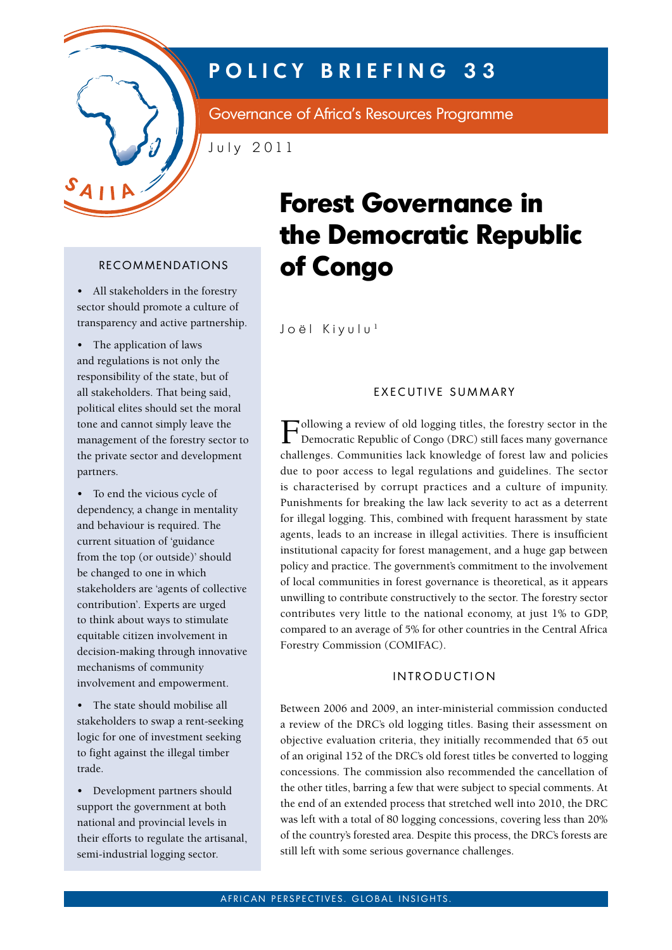

## **POLICY BRIEFING 33**

Governance of Africa's Resources Programme

July 2011

• All stakeholders in the forestry sector should promote a culture of transparency and active partnership.

• The application of laws and regulations is not only the responsibility of the state, but of all stakeholders. That being said, political elites should set the moral tone and cannot simply leave the management of the forestry sector to the private sector and development partners.

• To end the vicious cycle of dependency, a change in mentality and behaviour is required. The current situation of 'guidance from the top (or outside)' should be changed to one in which stakeholders are 'agents of collective contribution'. Experts are urged to think about ways to stimulate equitable citizen involvement in decision-making through innovative mechanisms of community involvement and empowerment.

• The state should mobilise all stakeholders to swap a rent-seeking logic for one of investment seeking to fight against the illegal timber trade.

• Development partners should support the government at both national and provincial levels in their efforts to regulate the artisanal, semi-industrial logging sector.

# **Forest Governance in the Democratic Republic**  RECOMMENDATIONS **of Congo**

Joël Kiyulu<sup>1</sup>

### EXECUTIVE SUMMARY

Following a review of old logging titles, the forestry sector in the Democratic Republic of Congo (DRC) still faces many governance challenges. Communities lack knowledge of forest law and policies due to poor access to legal regulations and guidelines. The sector is characterised by corrupt practices and a culture of impunity. Punishments for breaking the law lack severity to act as a deterrent for illegal logging. This, combined with frequent harassment by state agents, leads to an increase in illegal activities. There is insufficient institutional capacity for forest management, and a huge gap between policy and practice. The government's commitment to the involvement of local communities in forest governance is theoretical, as it appears unwilling to contribute constructively to the sector. The forestry sector contributes very little to the national economy, at just 1% to GDP, compared to an average of 5% for other countries in the Central Africa Forestry Commission (COMIFAC).

#### INTRODUCTION

Between 2006 and 2009, an inter-ministerial commission conducted a review of the DRC's old logging titles. Basing their assessment on objective evaluation criteria, they initially recommended that 65 out of an original 152 of the DRC's old forest titles be converted to logging concessions. The commission also recommended the cancellation of the other titles, barring a few that were subject to special comments. At the end of an extended process that stretched well into 2010, the DRC was left with a total of 80 logging concessions, covering less than 20% of the country's forested area. Despite this process, the DRC's forests are still left with some serious governance challenges.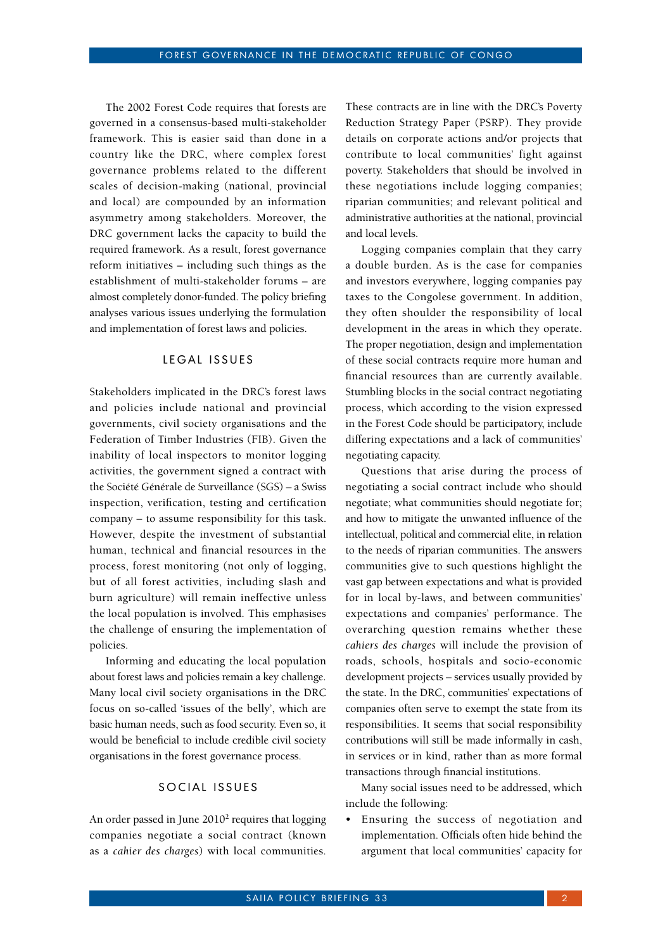The 2002 Forest Code requires that forests are governed in a consensus-based multi-stakeholder framework. This is easier said than done in a country like the DRC, where complex forest governance problems related to the different scales of decision-making (national, provincial and local) are compounded by an information asymmetry among stakeholders. Moreover, the DRC government lacks the capacity to build the required framework. As a result, forest governance reform initiatives – including such things as the establishment of multi-stakeholder forums – are almost completely donor-funded. The policy briefing analyses various issues underlying the formulation and implementation of forest laws and policies.

#### LEGAL ISSUES

Stakeholders implicated in the DRC's forest laws and policies include national and provincial governments, civil society organisations and the Federation of Timber Industries (FIB). Given the inability of local inspectors to monitor logging activities, the government signed a contract with the Société Générale de Surveillance (SGS) – a Swiss inspection, verification, testing and certification company – to assume responsibility for this task. However, despite the investment of substantial human, technical and financial resources in the process, forest monitoring (not only of logging, but of all forest activities, including slash and burn agriculture) will remain ineffective unless the local population is involved. This emphasises the challenge of ensuring the implementation of policies.

Informing and educating the local population about forest laws and policies remain a key challenge. Many local civil society organisations in the DRC focus on so-called 'issues of the belly', which are basic human needs, such as food security. Even so, it would be beneficial to include credible civil society organisations in the forest governance process.

#### SOCIAL ISSUES

An order passed in June 2010<sup>2</sup> requires that logging companies negotiate a social contract (known as a *cahier des charges*) with local communities.

These contracts are in line with the DRC's Poverty Reduction Strategy Paper (PSRP). They provide details on corporate actions and/or projects that contribute to local communities' fight against poverty. Stakeholders that should be involved in these negotiations include logging companies; riparian communities; and relevant political and administrative authorities at the national, provincial and local levels.

Logging companies complain that they carry a double burden. As is the case for companies and investors everywhere, logging companies pay taxes to the Congolese government. In addition, they often shoulder the responsibility of local development in the areas in which they operate. The proper negotiation, design and implementation of these social contracts require more human and financial resources than are currently available. Stumbling blocks in the social contract negotiating process, which according to the vision expressed in the Forest Code should be participatory, include differing expectations and a lack of communities' negotiating capacity.

Questions that arise during the process of negotiating a social contract include who should negotiate; what communities should negotiate for; and how to mitigate the unwanted influence of the intellectual, political and commercial elite, in relation to the needs of riparian communities. The answers communities give to such questions highlight the vast gap between expectations and what is provided for in local by-laws, and between communities' expectations and companies' performance. The overarching question remains whether these *cahiers des charges* will include the provision of roads, schools, hospitals and socio-economic development projects – services usually provided by the state. In the DRC, communities' expectations of companies often serve to exempt the state from its responsibilities. It seems that social responsibility contributions will still be made informally in cash, in services or in kind, rather than as more formal transactions through financial institutions.

Many social issues need to be addressed, which include the following:

• Ensuring the success of negotiation and implementation. Officials often hide behind the argument that local communities' capacity for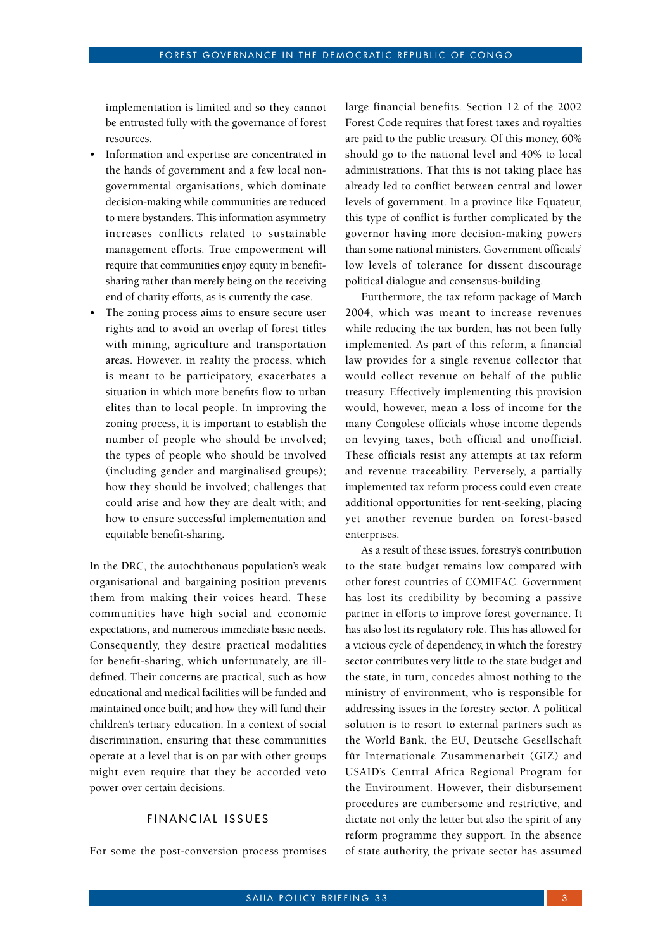implementation is limited and so they cannot be entrusted fully with the governance of forest resources.

- Information and expertise are concentrated in the hands of government and a few local nongovernmental organisations, which dominate decision-making while communities are reduced to mere bystanders. This information asymmetry increases conflicts related to sustainable management efforts. True empowerment will require that communities enjoy equity in benefitsharing rather than merely being on the receiving end of charity efforts, as is currently the case.
- The zoning process aims to ensure secure user rights and to avoid an overlap of forest titles with mining, agriculture and transportation areas. However, in reality the process, which is meant to be participatory, exacerbates a situation in which more benefits flow to urban elites than to local people. In improving the zoning process, it is important to establish the number of people who should be involved; the types of people who should be involved (including gender and marginalised groups); how they should be involved; challenges that could arise and how they are dealt with; and how to ensure successful implementation and equitable benefit-sharing.

In the DRC, the autochthonous population's weak organisational and bargaining position prevents them from making their voices heard. These communities have high social and economic expectations, and numerous immediate basic needs. Consequently, they desire practical modalities for benefit-sharing, which unfortunately, are illdefined. Their concerns are practical, such as how educational and medical facilities will be funded and maintained once built; and how they will fund their children's tertiary education. In a context of social discrimination, ensuring that these communities operate at a level that is on par with other groups might even require that they be accorded veto power over certain decisions.

#### FINANCIAL ISSUES

For some the post-conversion process promises

large financial benefits. Section 12 of the 2002 Forest Code requires that forest taxes and royalties are paid to the public treasury. Of this money, 60% should go to the national level and 40% to local administrations. That this is not taking place has already led to conflict between central and lower levels of government. In a province like Equateur, this type of conflict is further complicated by the governor having more decision-making powers than some national ministers. Government officials' low levels of tolerance for dissent discourage political dialogue and consensus-building.

Furthermore, the tax reform package of March 2004, which was meant to increase revenues while reducing the tax burden, has not been fully implemented. As part of this reform, a financial law provides for a single revenue collector that would collect revenue on behalf of the public treasury. Effectively implementing this provision would, however, mean a loss of income for the many Congolese officials whose income depends on levying taxes, both official and unofficial. These officials resist any attempts at tax reform and revenue traceability. Perversely, a partially implemented tax reform process could even create additional opportunities for rent-seeking, placing yet another revenue burden on forest-based enterprises.

As a result of these issues, forestry's contribution to the state budget remains low compared with other forest countries of COMIFAC. Government has lost its credibility by becoming a passive partner in efforts to improve forest governance. It has also lost its regulatory role. This has allowed for a vicious cycle of dependency, in which the forestry sector contributes very little to the state budget and the state, in turn, concedes almost nothing to the ministry of environment, who is responsible for addressing issues in the forestry sector. A political solution is to resort to external partners such as the World Bank, the EU, Deutsche Gesellschaft für Internationale Zusammenarbeit (GIZ) and USAID's Central Africa Regional Program for the Environment. However, their disbursement procedures are cumbersome and restrictive, and dictate not only the letter but also the spirit of any reform programme they support. In the absence of state authority, the private sector has assumed